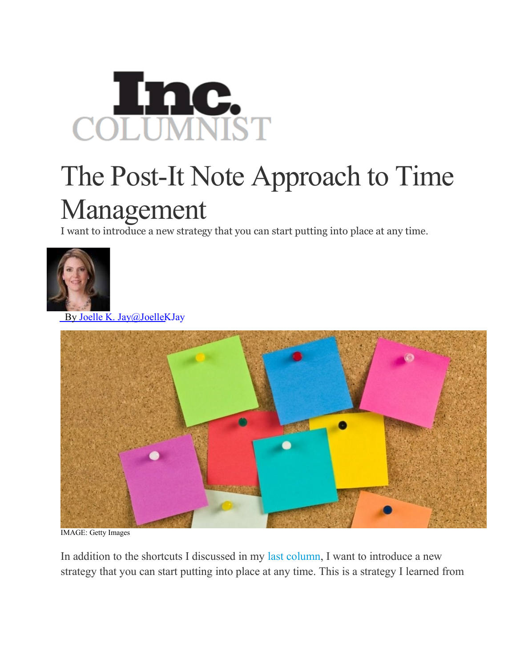

## The Post-It Note Approach to Time Management

I want to introduce a new strategy that you can start putting into place at any time.



By Joelle K. [Jay@JoelleKJay](http://www.inc.com/author/joelle-k-jay)



IMAGE: Getty Images

In addition to the shortcuts I discussed in my last [column,](http://www.inc.com/joelle-k-jay/7-foolproof-practices-for-maximizing-your-time.html) I want to introduce a new strategy that you can start putting into place at any time. This is a strategy I learned from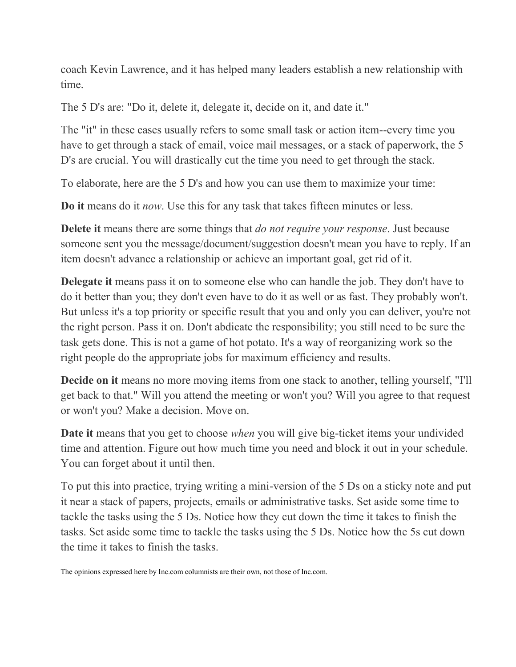coach Kevin Lawrence, and it has helped many leaders establish a new relationship with time.

The 5 D's are: "Do it, delete it, delegate it, decide on it, and date it."

The "it" in these cases usually refers to some small task or action item--every time you have to get through a stack of email, voice mail messages, or a stack of paperwork, the 5 D's are crucial. You will drastically cut the time you need to get through the stack.

To elaborate, here are the 5 D's and how you can use them to maximize your time:

**Do it** means do it *now*. Use this for any task that takes fifteen minutes or less.

**Delete it** means there are some things that *do not require your response*. Just because someone sent you the message/document/suggestion doesn't mean you have to reply. If an item doesn't advance a relationship or achieve an important goal, get rid of it.

**Delegate it** means pass it on to someone else who can handle the job. They don't have to do it better than you; they don't even have to do it as well or as fast. They probably won't. But unless it's a top priority or specific result that you and only you can deliver, you're not the right person. Pass it on. Don't abdicate the responsibility; you still need to be sure the task gets done. This is not a game of hot potato. It's a way of reorganizing work so the right people do the appropriate jobs for maximum efficiency and results.

**Decide on it** means no more moving items from one stack to another, telling yourself, "I'll get back to that." Will you attend the meeting or won't you? Will you agree to that request or won't you? Make a decision. Move on.

**Date it** means that you get to choose *when* you will give big-ticket items your undivided time and attention. Figure out how much time you need and block it out in your schedule. You can forget about it until then.

To put this into practice, trying writing a mini-version of the 5 Ds on a sticky note and put it near a stack of papers, projects, emails or administrative tasks. Set aside some time to tackle the tasks using the 5 Ds. Notice how they cut down the time it takes to finish the tasks. Set aside some time to tackle the tasks using the 5 Ds. Notice how the 5s cut down the time it takes to finish the tasks.

The opinions expressed here by Inc.com columnists are their own, not those of Inc.com.